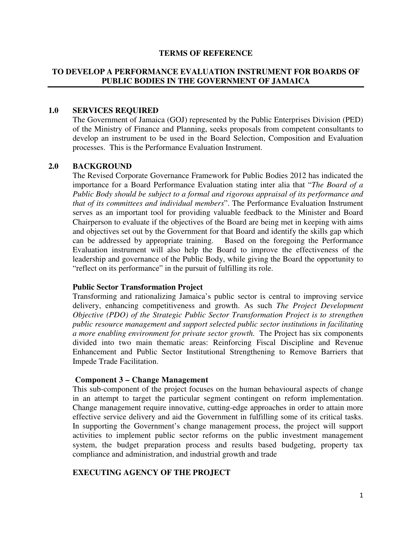### **TERMS OF REFERENCE**

### **TO DEVELOP A PERFORMANCE EVALUATION INSTRUMENT FOR BOARDS OF PUBLIC BODIES IN THE GOVERNMENT OF JAMAICA**

### **1.0 SERVICES REQUIRED**

The Government of Jamaica (GOJ) represented by the Public Enterprises Division (PED) of the Ministry of Finance and Planning, seeks proposals from competent consultants to develop an instrument to be used in the Board Selection, Composition and Evaluation processes. This is the Performance Evaluation Instrument.

### **2.0 BACKGROUND**

The Revised Corporate Governance Framework for Public Bodies 2012 has indicated the importance for a Board Performance Evaluation stating inter alia that "*The Board of a Public Body should be subject to a formal and rigorous appraisal of its performance and that of its committees and individual members*". The Performance Evaluation Instrument serves as an important tool for providing valuable feedback to the Minister and Board Chairperson to evaluate if the objectives of the Board are being met in keeping with aims and objectives set out by the Government for that Board and identify the skills gap which can be addressed by appropriate training. Based on the foregoing the Performance Evaluation instrument will also help the Board to improve the effectiveness of the leadership and governance of the Public Body, while giving the Board the opportunity to "reflect on its performance" in the pursuit of fulfilling its role.

#### **Public Sector Transformation Project**

Transforming and rationalizing Jamaica's public sector is central to improving service delivery, enhancing competitiveness and growth. As such *The Project Development Objective (PDO) of the Strategic Public Sector Transformation Project is to strengthen public resource management and support selected public sector institutions in facilitating a more enabling environment for private sector growth.* The Project has six components divided into two main thematic areas: Reinforcing Fiscal Discipline and Revenue Enhancement and Public Sector Institutional Strengthening to Remove Barriers that Impede Trade Facilitation.

#### **Component 3 – Change Management**

This sub-component of the project focuses on the human behavioural aspects of change in an attempt to target the particular segment contingent on reform implementation. Change management require innovative, cutting-edge approaches in order to attain more effective service delivery and aid the Government in fulfilling some of its critical tasks. In supporting the Government's change management process, the project will support activities to implement public sector reforms on the public investment management system, the budget preparation process and results based budgeting, property tax compliance and administration, and industrial growth and trade

### **EXECUTING AGENCY OF THE PROJECT**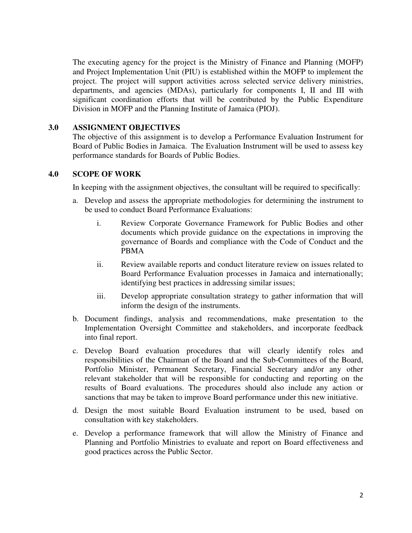The executing agency for the project is the Ministry of Finance and Planning (MOFP) and Project Implementation Unit (PIU) is established within the MOFP to implement the project. The project will support activities across selected service delivery ministries, departments, and agencies (MDAs), particularly for components I, II and III with significant coordination efforts that will be contributed by the Public Expenditure Division in MOFP and the Planning Institute of Jamaica (PIOJ).

## **3.0 ASSIGNMENT OBJECTIVES**

The objective of this assignment is to develop a Performance Evaluation Instrument for Board of Public Bodies in Jamaica. The Evaluation Instrument will be used to assess key performance standards for Boards of Public Bodies.

## **4.0 SCOPE OF WORK**

In keeping with the assignment objectives, the consultant will be required to specifically:

- a. Develop and assess the appropriate methodologies for determining the instrument to be used to conduct Board Performance Evaluations:
	- i. Review Corporate Governance Framework for Public Bodies and other documents which provide guidance on the expectations in improving the governance of Boards and compliance with the Code of Conduct and the PBMA
	- ii. Review available reports and conduct literature review on issues related to Board Performance Evaluation processes in Jamaica and internationally; identifying best practices in addressing similar issues;
	- iii. Develop appropriate consultation strategy to gather information that will inform the design of the instruments.
- b. Document findings, analysis and recommendations, make presentation to the Implementation Oversight Committee and stakeholders, and incorporate feedback into final report.
- c. Develop Board evaluation procedures that will clearly identify roles and responsibilities of the Chairman of the Board and the Sub-Committees of the Board, Portfolio Minister, Permanent Secretary, Financial Secretary and/or any other relevant stakeholder that will be responsible for conducting and reporting on the results of Board evaluations. The procedures should also include any action or sanctions that may be taken to improve Board performance under this new initiative.
- d. Design the most suitable Board Evaluation instrument to be used, based on consultation with key stakeholders.
- e. Develop a performance framework that will allow the Ministry of Finance and Planning and Portfolio Ministries to evaluate and report on Board effectiveness and good practices across the Public Sector.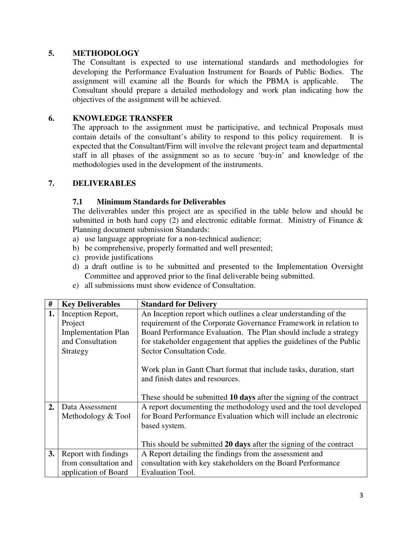## **5. METHODOLOGY**

The Consultant is expected to use international standards and methodologies for developing the Performance Evaluation Instrument for Boards of Public Bodies. The assignment will examine all the Boards for which the PBMA is applicable. The Consultant should prepare a detailed methodology and work plan indicating how the objectives of the assignment will be achieved.

## **6. KNOWLEDGE TRANSFER**

The approach to the assignment must be participative, and technical Proposals must contain details of the consultant's ability to respond to this policy requirement. It is expected that the Consultant/Firm will involve the relevant project team and departmental staff in all phases of the assignment so as to secure 'buy-in' and knowledge of the methodologies used in the development of the instruments.

## **7. DELIVERABLES**

## **7.1 Minimum Standards for Deliverables**

The deliverables under this project are as specified in the table below and should be submitted in both hard copy  $(2)$  and electronic editable format. Ministry of Finance  $\&$ Planning document submission Standards:

- a) use language appropriate for a non-technical audience;
- b) be comprehensive, properly formatted and well presented;
- c) provide justifications
- d) a draft outline is to be submitted and presented to the Implementation Oversight Committee and approved prior to the final deliverable being submitted.
- e) all submissions must show evidence of Consultation.

| #                          | <b>Key Deliverables</b>                                                         | <b>Standard for Delivery</b>                                         |  |
|----------------------------|---------------------------------------------------------------------------------|----------------------------------------------------------------------|--|
| 1.                         | Inception Report,                                                               | An Inception report which outlines a clear understanding of the      |  |
| Project                    |                                                                                 | requirement of the Corporate Governance Framework in relation to     |  |
| <b>Implementation Plan</b> |                                                                                 | Board Performance Evaluation. The Plan should include a strategy     |  |
|                            | and Consultation                                                                | for stakeholder engagement that applies the guidelines of the Public |  |
|                            | Strategy                                                                        | Sector Consultation Code.                                            |  |
|                            |                                                                                 |                                                                      |  |
|                            |                                                                                 | Work plan in Gantt Chart format that include tasks, duration, start  |  |
|                            |                                                                                 | and finish dates and resources.                                      |  |
|                            |                                                                                 |                                                                      |  |
|                            |                                                                                 | These should be submitted 10 days after the signing of the contract  |  |
| 2.<br>Data Assessment      |                                                                                 | A report documenting the methodology used and the tool developed     |  |
|                            | Methodology & Tool                                                              | for Board Performance Evaluation which will include an electronic    |  |
|                            |                                                                                 | based system.                                                        |  |
|                            |                                                                                 |                                                                      |  |
|                            |                                                                                 | This should be submitted 20 days after the signing of the contract   |  |
| 3.                         | A Report detailing the findings from the assessment and<br>Report with findings |                                                                      |  |
|                            | from consultation and                                                           | consultation with key stakeholders on the Board Performance          |  |
|                            | application of Board                                                            | <b>Evaluation Tool.</b>                                              |  |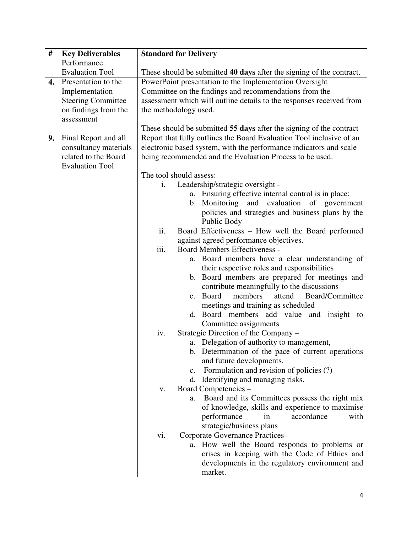| $\#$ | <b>Key Deliverables</b>   | <b>Standard for Delivery</b>                                                    |  |  |
|------|---------------------------|---------------------------------------------------------------------------------|--|--|
|      | Performance               |                                                                                 |  |  |
|      | <b>Evaluation Tool</b>    | These should be submitted 40 days after the signing of the contract.            |  |  |
| 4.   | Presentation to the       | PowerPoint presentation to the Implementation Oversight                         |  |  |
|      | Implementation            | Committee on the findings and recommendations from the                          |  |  |
|      | <b>Steering Committee</b> | assessment which will outline details to the responses received from            |  |  |
|      | on findings from the      | the methodology used.                                                           |  |  |
|      | assessment                |                                                                                 |  |  |
|      |                           | These should be submitted 55 days after the signing of the contract             |  |  |
| 9.   | Final Report and all      | Report that fully outlines the Board Evaluation Tool inclusive of an            |  |  |
|      | consultancy materials     | electronic based system, with the performance indicators and scale              |  |  |
|      | related to the Board      | being recommended and the Evaluation Process to be used.                        |  |  |
|      | <b>Evaluation Tool</b>    |                                                                                 |  |  |
|      |                           | The tool should assess:                                                         |  |  |
|      |                           | Leadership/strategic oversight -<br>i.                                          |  |  |
|      |                           | a. Ensuring effective internal control is in place;                             |  |  |
|      |                           | b. Monitoring and<br>evaluation of<br>government                                |  |  |
|      |                           | policies and strategies and business plans by the                               |  |  |
|      |                           | Public Body                                                                     |  |  |
|      |                           | ii.<br>Board Effectiveness - How well the Board performed                       |  |  |
|      |                           | against agreed performance objectives.                                          |  |  |
|      |                           | iii.<br>Board Members Effectiveness -                                           |  |  |
|      |                           | a. Board members have a clear understanding of                                  |  |  |
|      |                           | their respective roles and responsibilities                                     |  |  |
|      |                           | b. Board members are prepared for meetings and                                  |  |  |
|      |                           | contribute meaningfully to the discussions                                      |  |  |
|      |                           | members<br>Board/Committee<br>c. Board<br>attend                                |  |  |
|      |                           | meetings and training as scheduled<br>d. Board members add value and insight to |  |  |
|      |                           | Committee assignments                                                           |  |  |
|      |                           | Strategic Direction of the Company -<br>iv.                                     |  |  |
|      |                           | a. Delegation of authority to management,                                       |  |  |
|      |                           | b. Determination of the pace of current operations                              |  |  |
|      |                           | and future developments,                                                        |  |  |
|      |                           | Formulation and revision of policies (?)<br>c.                                  |  |  |
|      |                           | d. Identifying and managing risks.                                              |  |  |
|      |                           | Board Competencies -<br>V.                                                      |  |  |
|      |                           | Board and its Committees possess the right mix<br>a.                            |  |  |
|      |                           | of knowledge, skills and experience to maximise                                 |  |  |
|      |                           | performance<br>accordance<br>with<br>in                                         |  |  |
|      |                           | strategic/business plans                                                        |  |  |
|      |                           | Corporate Governance Practices-<br>vi.                                          |  |  |
|      |                           | How well the Board responds to problems or<br>a.                                |  |  |
|      |                           | crises in keeping with the Code of Ethics and                                   |  |  |
|      |                           | developments in the regulatory environment and                                  |  |  |
|      |                           | market.                                                                         |  |  |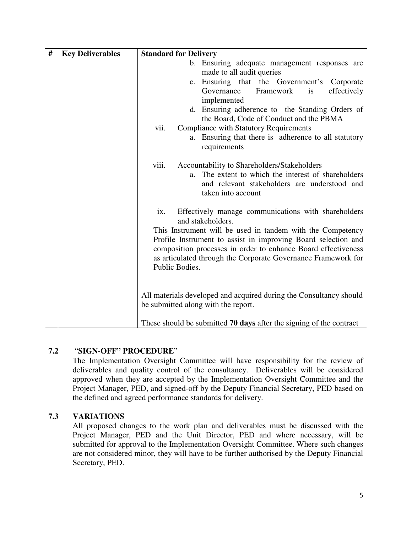| # | <b>Key Deliverables</b> | <b>Standard for Delivery</b>                                                                                                                                                                                                                                                                                                                                                                            |
|---|-------------------------|---------------------------------------------------------------------------------------------------------------------------------------------------------------------------------------------------------------------------------------------------------------------------------------------------------------------------------------------------------------------------------------------------------|
|   |                         | b. Ensuring adequate management responses are<br>made to all audit queries<br>c. Ensuring that the Government's Corporate<br>Governance<br>Framework<br>effectively<br>is<br>implemented<br>d. Ensuring adherence to the Standing Orders of<br>the Board, Code of Conduct and the PBMA<br>vii.<br><b>Compliance with Statutory Requirements</b><br>a. Ensuring that there is adherence to all statutory |
|   |                         | requirements<br>viii.<br>Accountability to Shareholders/Stakeholders<br>The extent to which the interest of shareholders<br>$a_{\cdot}$<br>and relevant stakeholders are understood and<br>taken into account                                                                                                                                                                                           |
|   |                         | Effectively manage communications with shareholders<br>ix.<br>and stakeholders.                                                                                                                                                                                                                                                                                                                         |
|   |                         | This Instrument will be used in tandem with the Competency<br>Profile Instrument to assist in improving Board selection and<br>composition processes in order to enhance Board effectiveness<br>as articulated through the Corporate Governance Framework for<br>Public Bodies.                                                                                                                         |
|   |                         | All materials developed and acquired during the Consultancy should<br>be submitted along with the report.                                                                                                                                                                                                                                                                                               |
|   |                         | These should be submitted 70 days after the signing of the contract                                                                                                                                                                                                                                                                                                                                     |

# **7.2** "**SIGN-OFF" PROCEDURE**"

The Implementation Oversight Committee will have responsibility for the review of deliverables and quality control of the consultancy. Deliverables will be considered approved when they are accepted by the Implementation Oversight Committee and the Project Manager, PED, and signed-off by the Deputy Financial Secretary, PED based on the defined and agreed performance standards for delivery.

# **7.3 VARIATIONS**

All proposed changes to the work plan and deliverables must be discussed with the Project Manager, PED and the Unit Director, PED and where necessary, will be submitted for approval to the Implementation Oversight Committee. Where such changes are not considered minor, they will have to be further authorised by the Deputy Financial Secretary, PED.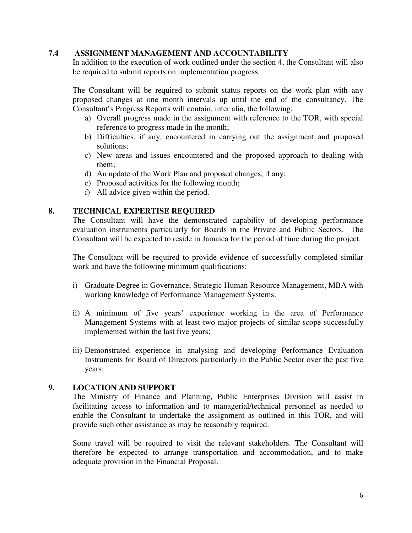## **7.4 ASSIGNMENT MANAGEMENT AND ACCOUNTABILITY**

In addition to the execution of work outlined under the section 4, the Consultant will also be required to submit reports on implementation progress.

The Consultant will be required to submit status reports on the work plan with any proposed changes at one month intervals up until the end of the consultancy. The Consultant's Progress Reports will contain, inter alia, the following:

- a) Overall progress made in the assignment with reference to the TOR, with special reference to progress made in the month;
- b) Difficulties, if any, encountered in carrying out the assignment and proposed solutions;
- c) New areas and issues encountered and the proposed approach to dealing with them;
- d) An update of the Work Plan and proposed changes, if any;
- e) Proposed activities for the following month;
- f) All advice given within the period.

## **8. TECHNICAL EXPERTISE REQUIRED**

The Consultant will have the demonstrated capability of developing performance evaluation instruments particularly for Boards in the Private and Public Sectors. The Consultant will be expected to reside in Jamaica for the period of time during the project.

The Consultant will be required to provide evidence of successfully completed similar work and have the following minimum qualifications:

- i) Graduate Degree in Governance, Strategic Human Resource Management, MBA with working knowledge of Performance Management Systems.
- ii) A minimum of five years' experience working in the area of Performance Management Systems with at least two major projects of similar scope successfully implemented within the last five years;
- iii) Demonstrated experience in analysing and developing Performance Evaluation Instruments for Board of Directors particularly in the Public Sector over the past five years;

## **9. LOCATION AND SUPPORT**

The Ministry of Finance and Planning, Public Enterprises Division will assist in facilitating access to information and to managerial/technical personnel as needed to enable the Consultant to undertake the assignment as outlined in this TOR, and will provide such other assistance as may be reasonably required.

Some travel will be required to visit the relevant stakeholders. The Consultant will therefore be expected to arrange transportation and accommodation, and to make adequate provision in the Financial Proposal.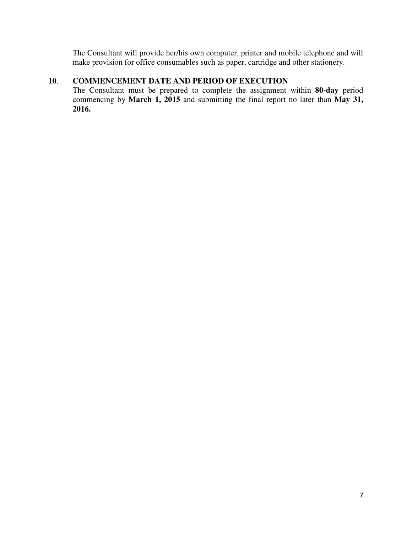The Consultant will provide her/his own computer, printer and mobile telephone and will make provision for office consumables such as paper, cartridge and other stationery.

# **10**. **COMMENCEMENT DATE AND PERIOD OF EXECUTION**

The Consultant must be prepared to complete the assignment within **80-day** period commencing by **March 1, 2015** and submitting the final report no later than **May 31, 2016.**